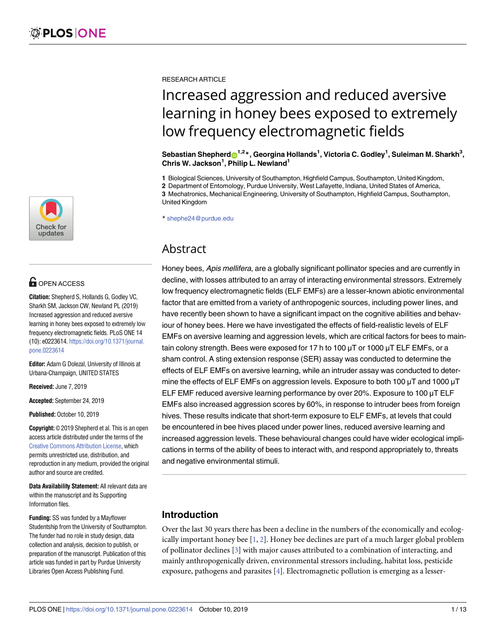

# **OPEN ACCESS**

**Citation:** Shepherd S, Hollands G, Godley VC, Sharkh SM, Jackson CW, Newland PL (2019) Increased aggression and reduced aversive learning in honey bees exposed to extremely low frequency electromagnetic fields. PLoS ONE 14 (10): e0223614. [https://doi.org/10.1371/journal.](https://doi.org/10.1371/journal.pone.0223614) [pone.0223614](https://doi.org/10.1371/journal.pone.0223614)

**Editor:** Adam G Dolezal, University of Illinois at Urbana-Champaign, UNITED STATES

**Received:** June 7, 2019

**Accepted:** September 24, 2019

**Published:** October 10, 2019

**Copyright:** © 2019 Shepherd et al. This is an open access article distributed under the terms of the Creative Commons [Attribution](http://creativecommons.org/licenses/by/4.0/) License, which permits unrestricted use, distribution, and reproduction in any medium, provided the original author and source are credited.

**Data Availability Statement:** All relevant data are within the manuscript and its Supporting Information files.

**Funding:** SS was funded by a Mayflower Studentship from the University of Southampton. The funder had no role in study design, data collection and analysis, decision to publish, or preparation of the manuscript. Publication of this article was funded in part by Purdue University Libraries Open Access Publishing Fund.

<span id="page-0-0"></span>RESEARCH ARTICLE

# Increased aggression and reduced aversive learning in honey bees exposed to extremely low frequency electromagnetic fields

 $\bf S$ ebastian Shepherd $\bf \odot^{1,2*}$ , Georgina Hollands<sup>1</sup>, Victoria C. Godley<sup>1</sup>, Suleiman M. Sharkh $^3,$ **Chris W. Jackson1 , Philip L. Newland1**

**1** Biological Sciences, University of Southampton, Highfield Campus, Southampton, United Kingdom,

**2** Department of Entomology, Purdue University, West Lafayette, Indiana, United States of America,

**3** Mechatronics, Mechanical Engineering, University of Southampton, Highfield Campus, Southampton, United Kingdom

\* shephe24@purdue.edu

# Abstract

Honey bees, Apis mellifera, are a globally significant pollinator species and are currently in decline, with losses attributed to an array of interacting environmental stressors. Extremely low frequency electromagnetic fields (ELF EMFs) are a lesser-known abiotic environmental factor that are emitted from a variety of anthropogenic sources, including power lines, and have recently been shown to have a significant impact on the cognitive abilities and behaviour of honey bees. Here we have investigated the effects of field-realistic levels of ELF EMFs on aversive learning and aggression levels, which are critical factors for bees to maintain colony strength. Bees were exposed for 17 h to 100  $\mu$ T or 1000  $\mu$ T ELF EMFs, or a sham control. A sting extension response (SER) assay was conducted to determine the effects of ELF EMFs on aversive learning, while an intruder assay was conducted to determine the effects of ELF EMFs on aggression levels. Exposure to both 100 μT and 1000 μT ELF EMF reduced aversive learning performance by over 20%. Exposure to 100 μT ELF EMFs also increased aggression scores by 60%, in response to intruder bees from foreign hives. These results indicate that short-term exposure to ELF EMFs, at levels that could be encountered in bee hives placed under power lines, reduced aversive learning and increased aggression levels. These behavioural changes could have wider ecological implications in terms of the ability of bees to interact with, and respond appropriately to, threats and negative environmental stimuli.

# **Introduction**

Over the last 30 years there has been a decline in the numbers of the economically and ecologically important honey bee [[1](#page-10-0), [2\]](#page-10-0). Honey bee declines are part of a much larger global problem of pollinator declines [[3](#page-10-0)] with major causes attributed to a combination of interacting, and mainly anthropogenically driven, environmental stressors including, habitat loss, pesticide exposure, pathogens and parasites [\[4\]](#page-10-0). Electromagnetic pollution is emerging as a lesser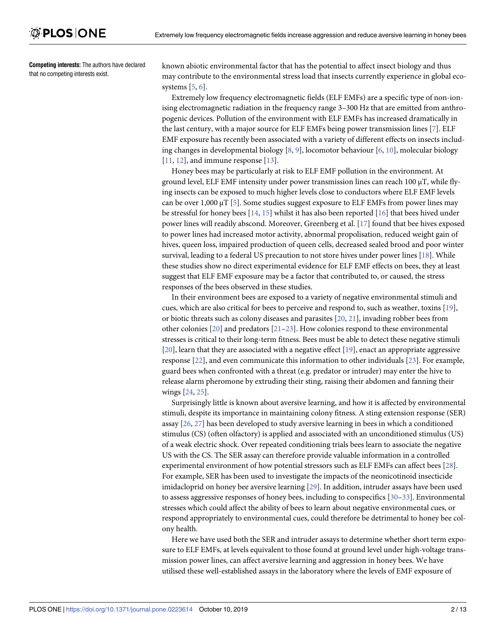<span id="page-1-0"></span>**Competing interests:** The authors have declared that no competing interests exist.

known abiotic environmental factor that has the potential to affect insect biology and thus may contribute to the environmental stress load that insects currently experience in global ecosystems  $[5, 6]$  $[5, 6]$  $[5, 6]$  $[5, 6]$ .

Extremely low frequency electromagnetic fields (ELF EMFs) are a specific type of non-ionising electromagnetic radiation in the frequency range 3–300 Hz that are emitted from anthropogenic devices. Pollution of the environment with ELF EMFs has increased dramatically in the last century, with a major source for ELF EMFs being power transmission lines [[7](#page-10-0)]. ELF EMF exposure has recently been associated with a variety of different effects on insects including changes in developmental biology [\[8](#page-10-0), [9](#page-10-0)], locomotor behaviour [\[6,](#page-10-0) [10\]](#page-10-0), molecular biology  $[11, 12]$  $[11, 12]$  $[11, 12]$ , and immune response  $[13]$ .

Honey bees may be particularly at risk to ELF EMF pollution in the environment. At ground level, ELF EMF intensity under power transmission lines can reach 100 μT, while flying insects can be exposed to much higher levels close to conductors where ELF EMF levels can be over 1,000  $\mu$ T [[5\]](#page-10-0). Some studies suggest exposure to ELF EMFs from power lines may be stressful for honey bees [\[14,](#page-11-0) [15\]](#page-11-0) whilst it has also been reported [[16](#page-11-0)] that bees hived under power lines will readily abscond. Moreover, Greenberg et al. [\[17\]](#page-11-0) found that bee hives exposed to power lines had increased motor activity, abnormal propolisation, reduced weight gain of hives, queen loss, impaired production of queen cells, decreased sealed brood and poor winter survival, leading to a federal US precaution to not store hives under power lines [[18](#page-11-0)]. While these studies show no direct experimental evidence for ELF EMF effects on bees, they at least suggest that ELF EMF exposure may be a factor that contributed to, or caused, the stress responses of the bees observed in these studies.

In their environment bees are exposed to a variety of negative environmental stimuli and cues, which are also critical for bees to perceive and respond to, such as weather, toxins [\[19\]](#page-11-0), or biotic threats such as colony diseases and parasites [\[20,](#page-11-0) [21\]](#page-11-0), invading robber bees from other colonies [[20](#page-11-0)] and predators [\[21–23](#page-11-0)]. How colonies respond to these environmental stresses is critical to their long-term fitness. Bees must be able to detect these negative stimuli [\[20\]](#page-11-0), learn that they are associated with a negative effect [\[19\]](#page-11-0), enact an appropriate aggressive response [[22](#page-11-0)], and even communicate this information to other individuals [\[23\]](#page-11-0). For example, guard bees when confronted with a threat (e.g. predator or intruder) may enter the hive to release alarm pheromone by extruding their sting, raising their abdomen and fanning their wings [[24](#page-11-0), [25](#page-11-0)].

Surprisingly little is known about aversive learning, and how it is affected by environmental stimuli, despite its importance in maintaining colony fitness. A sting extension response (SER) assay [\[26,](#page-11-0) [27\]](#page-11-0) has been developed to study aversive learning in bees in which a conditioned stimulus (CS) (often olfactory) is applied and associated with an unconditioned stimulus (US) of a weak electric shock. Over repeated conditioning trials bees learn to associate the negative US with the CS. The SER assay can therefore provide valuable information in a controlled experimental environment of how potential stressors such as ELF EMFs can affect bees [\[28\]](#page-11-0). For example, SER has been used to investigate the impacts of the neonicotinoid insecticide imidacloprid on honey bee aversive learning [\[29\]](#page-11-0). In addition, intruder assays have been used to assess aggressive responses of honey bees, including to conspecifics [[30](#page-11-0)–[33\]](#page-11-0). Environmental stresses which could affect the ability of bees to learn about negative environmental cues, or respond appropriately to environmental cues, could therefore be detrimental to honey bee colony health.

Here we have used both the SER and intruder assays to determine whether short term exposure to ELF EMFs, at levels equivalent to those found at ground level under high-voltage transmission power lines, can affect aversive learning and aggression in honey bees. We have utilised these well-established assays in the laboratory where the levels of EMF exposure of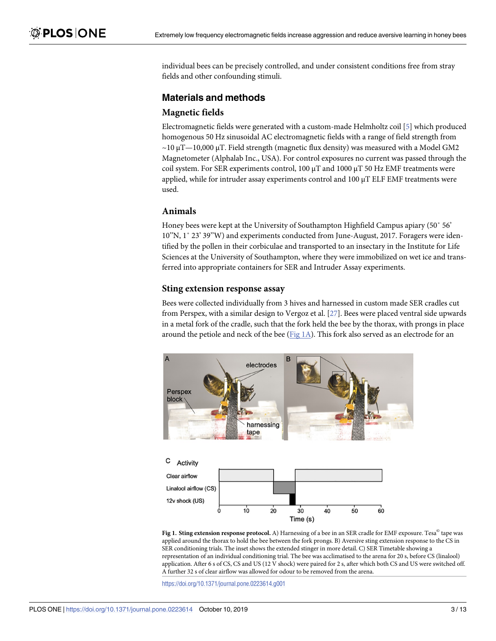<span id="page-2-0"></span>individual bees can be precisely controlled, and under consistent conditions free from stray fields and other confounding stimuli.

# **Materials and methods**

## **Magnetic fields**

Electromagnetic fields were generated with a custom-made Helmholtz coil [\[5\]](#page-10-0) which produced homogenous 50 Hz sinusoidal AC electromagnetic fields with a range of field strength from  $\sim$ 10 μT $-$ 10,000 μT. Field strength (magnetic flux density) was measured with a Model GM2 Magnetometer (Alphalab Inc., USA). For control exposures no current was passed through the coil system. For SER experiments control, 100 μT and 1000 μT 50 Hz EMF treatments were applied, while for intruder assay experiments control and 100 μT ELF EMF treatments were used.

## **Animals**

Honey bees were kept at the University of Southampton Highfield Campus apiary (50˚ 56' 10''N, 1˚ 23' 39''W) and experiments conducted from June-August, 2017. Foragers were identified by the pollen in their corbiculae and transported to an insectary in the Institute for Life Sciences at the University of Southampton, where they were immobilized on wet ice and transferred into appropriate containers for SER and Intruder Assay experiments.

## **Sting extension response assay**

Bees were collected individually from 3 hives and harnessed in custom made SER cradles cut from Perspex, with a similar design to Vergoz et al. [\[27\]](#page-11-0). Bees were placed ventral side upwards in a metal fork of the cradle, such that the fork held the bee by the thorax, with prongs in place around the petiole and neck of the bee ( $Fig 1A$ ). This fork also served as an electrode for an



**Fig 1. Sting extension response protocol.** A) Harnessing of a bee in an SER cradle for EMF exposure. Tesa© tape was applied around the thorax to hold the bee between the fork prongs. B) Aversive sting extension response to the CS in SER conditioning trials. The inset shows the extended stinger in more detail. C) SER Timetable showing a representation of an individual conditioning trial. The bee was acclimatised to the arena for 20 s, before CS (linalool) application. After 6 s of CS, CS and US (12 V shock) were paired for 2 s, after which both CS and US were switched off. A further 32 s of clear airflow was allowed for odour to be removed from the arena.

<https://doi.org/10.1371/journal.pone.0223614.g001>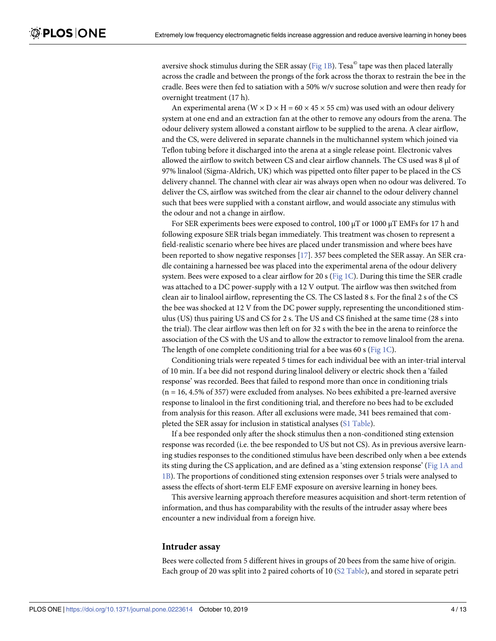aversive shock stimulus during the SER assay ( $Fig 1B$  $Fig 1B$ ). Tesa $^{\circ}$  tape was then placed laterally across the cradle and between the prongs of the fork across the thorax to restrain the bee in the cradle. Bees were then fed to satiation with a 50% w/v sucrose solution and were then ready for overnight treatment (17 h).

An experimental arena ( $W \times D \times H = 60 \times 45 \times 55$  cm) was used with an odour delivery system at one end and an extraction fan at the other to remove any odours from the arena. The odour delivery system allowed a constant airflow to be supplied to the arena. A clear airflow, and the CS, were delivered in separate channels in the multichannel system which joined via Teflon tubing before it discharged into the arena at a single release point. Electronic valves allowed the airflow to switch between CS and clear airflow channels. The CS used was 8 μl of 97% linalool (Sigma-Aldrich, UK) which was pipetted onto filter paper to be placed in the CS delivery channel. The channel with clear air was always open when no odour was delivered. To deliver the CS, airflow was switched from the clear air channel to the odour delivery channel such that bees were supplied with a constant airflow, and would associate any stimulus with the odour and not a change in airflow.

For SER experiments bees were exposed to control,  $100 \mu T$  or  $1000 \mu T$  EMFs for 17 h and following exposure SER trials began immediately. This treatment was chosen to represent a field-realistic scenario where bee hives are placed under transmission and where bees have been reported to show negative responses [[17](#page-11-0)]. 357 bees completed the SER assay. An SER cradle containing a harnessed bee was placed into the experimental arena of the odour delivery system. Bees were exposed to a clear airflow for 20 s [\(Fig](#page-2-0) 1C). During this time the SER cradle was attached to a DC power-supply with a 12 V output. The airflow was then switched from clean air to linalool airflow, representing the CS. The CS lasted 8 s. For the final 2 s of the CS the bee was shocked at 12 V from the DC power supply, representing the unconditioned stimulus (US) thus pairing US and CS for 2 s. The US and CS finished at the same time (28 s into the trial). The clear airflow was then left on for 32 s with the bee in the arena to reinforce the association of the CS with the US and to allow the extractor to remove linalool from the arena. The length of one complete conditioning trial for a bee was 60 s [\(Fig](#page-2-0) 1C).

Conditioning trials were repeated 5 times for each individual bee with an inter-trial interval of 10 min. If a bee did not respond during linalool delivery or electric shock then a 'failed response' was recorded. Bees that failed to respond more than once in conditioning trials (n = 16, 4.5% of 357) were excluded from analyses. No bees exhibited a pre-learned aversive response to linalool in the first conditioning trial, and therefore no bees had to be excluded from analysis for this reason. After all exclusions were made, 341 bees remained that completed the SER assay for inclusion in statistical analyses (S1 [Table](#page-9-0)).

If a bee responded only after the shock stimulus then a non-conditioned sting extension response was recorded (i.e. the bee responded to US but not CS). As in previous aversive learning studies responses to the conditioned stimulus have been described only when a bee extends its sting during the CS application, and are defined as a 'sting extension response' (Fig 1A [and](#page-2-0) [1B\)](#page-2-0). The proportions of conditioned sting extension responses over 5 trials were analysed to assess the effects of short-term ELF EMF exposure on aversive learning in honey bees.

This aversive learning approach therefore measures acquisition and short-term retention of information, and thus has comparability with the results of the intruder assay where bees encounter a new individual from a foreign hive.

#### **Intruder assay**

Bees were collected from 5 different hives in groups of 20 bees from the same hive of origin. Each group of 20 was split into 2 paired cohorts of 10 (S2 [Table](#page-10-0)), and stored in separate petri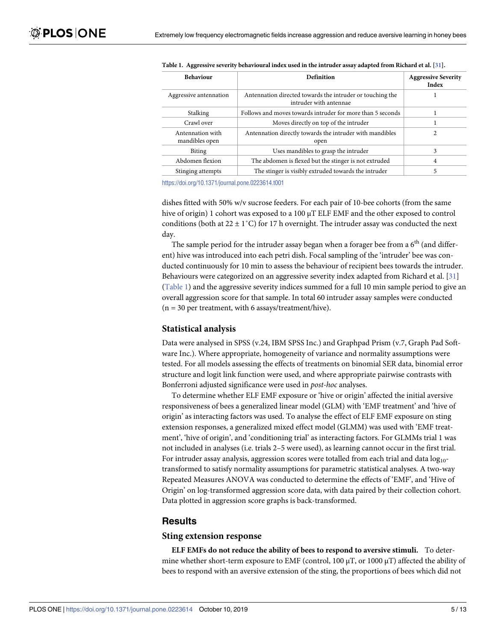| <b>Behaviour</b>                   | Definition                                                                          | <b>Aggressive Severity</b><br><b>Index</b> |
|------------------------------------|-------------------------------------------------------------------------------------|--------------------------------------------|
| Aggressive antennation             | Antennation directed towards the intruder or touching the<br>intruder with antennae |                                            |
| Stalking                           | Follows and moves towards intruder for more than 5 seconds                          |                                            |
| Crawl over                         | Moves directly on top of the intruder                                               |                                            |
| Antennation with<br>mandibles open | Antennation directly towards the intruder with mandibles<br>open                    | 2                                          |
| <b>Biting</b>                      | Uses mandibles to grasp the intruder                                                | 3                                          |
| Abdomen flexion                    | The abdomen is flexed but the stinger is not extruded                               | 4                                          |
| Stinging attempts                  | The stinger is visibly extruded towards the intruder                                |                                            |

<span id="page-4-0"></span>Table 1. Aggressive severity behavioural index used in the intruder assay adapted from Richard et al. [\[31](#page-11-0)].

<https://doi.org/10.1371/journal.pone.0223614.t001>

dishes fitted with 50% w/v sucrose feeders. For each pair of 10-bee cohorts (from the same hive of origin) 1 cohort was exposed to a 100 μT ELF EMF and the other exposed to control conditions (both at 22  $\pm$  1°C) for 17 h overnight. The intruder assay was conducted the next day.

The sample period for the intruder assay began when a forager bee from a  $6<sup>th</sup>$  (and different) hive was introduced into each petri dish. Focal sampling of the 'intruder' bee was conducted continuously for 10 min to assess the behaviour of recipient bees towards the intruder. Behaviours were categorized on an aggressive severity index adapted from Richard et al. [\[31\]](#page-11-0) (Table 1) and the aggressive severity indices summed for a full 10 min sample period to give an overall aggression score for that sample. In total 60 intruder assay samples were conducted  $(n = 30$  per treatment, with 6 assays/treatment/hive).

#### **Statistical analysis**

Data were analysed in SPSS (v.24, IBM SPSS Inc.) and Graphpad Prism (v.7, Graph Pad Software Inc.). Where appropriate, homogeneity of variance and normality assumptions were tested. For all models assessing the effects of treatments on binomial SER data, binomial error structure and logit link function were used, and where appropriate pairwise contrasts with Bonferroni adjusted significance were used in *post-hoc* analyses.

To determine whether ELF EMF exposure or 'hive or origin' affected the initial aversive responsiveness of bees a generalized linear model (GLM) with 'EMF treatment' and 'hive of origin' as interacting factors was used. To analyse the effect of ELF EMF exposure on sting extension responses, a generalized mixed effect model (GLMM) was used with 'EMF treatment', 'hive of origin', and 'conditioning trial' as interacting factors. For GLMMs trial 1 was not included in analyses (i.e. trials 2–5 were used), as learning cannot occur in the first trial. For intruder assay analysis, aggression scores were totalled from each trial and data log<sub>10</sub>transformed to satisfy normality assumptions for parametric statistical analyses. A two-way Repeated Measures ANOVA was conducted to determine the effects of 'EMF', and 'Hive of Origin' on log-transformed aggression score data, with data paired by their collection cohort. Data plotted in aggression score graphs is back-transformed.

#### **Results**

#### **Sting extension response**

**ELF EMFs do not reduce the ability of bees to respond to aversive stimuli.** To determine whether short-term exposure to EMF (control, 100  $\mu$ T, or 1000  $\mu$ T) affected the ability of bees to respond with an aversive extension of the sting, the proportions of bees which did not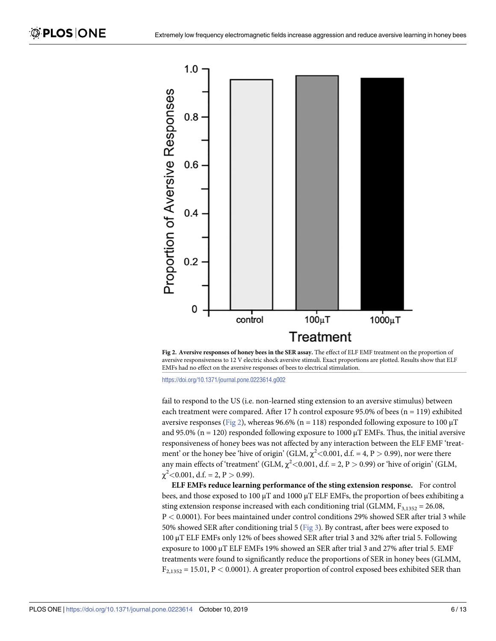<span id="page-5-0"></span>

**Fig 2. Aversive responses of honey bees in the SER assay.** The effect of ELF EMF treatment on the proportion of aversive responsiveness to 12 V electric shock aversive stimuli. Exact proportions are plotted. Results show that ELF EMFs had no effect on the aversive responses of bees to electrical stimulation.

<https://doi.org/10.1371/journal.pone.0223614.g002>

fail to respond to the US (i.e. non-learned sting extension to an aversive stimulus) between each treatment were compared. After 17 h control exposure 95.0% of bees (n = 119) exhibited aversive responses (Fig 2), whereas 96.6% (n = 118) responded following exposure to 100  $\mu$ T and 95.0% (n = 120) responded following exposure to 1000  $\mu$ T EMFs. Thus, the initial aversive responsiveness of honey bees was not affected by any interaction between the ELF EMF 'treatment' or the honey bee 'hive of origin' (GLM,  $\chi^2$  < 0.001, d.f. = 4, P > 0.99), nor were there any main effects of 'treatment' (GLM,  $\chi^2$  < 0.001, d.f. = 2, P > 0.99) or 'hive of origin' (GLM,  $\chi^2$  < 0.001, d.f. = 2, P > 0.99).

**ELF EMFs reduce learning performance of the sting extension response.** For control bees, and those exposed to 100  $\mu$ T and 1000  $\mu$ T ELF EMFs, the proportion of bees exhibiting a sting extension response increased with each conditioning trial (GLMM,  $F_{3,1352} = 26.08$ , P *<* 0.0001). For bees maintained under control conditions 29% showed SER after trial 3 while 50% showed SER after conditioning trial 5 ([Fig](#page-6-0) 3). By contrast, after bees were exposed to 100 μT ELF EMFs only 12% of bees showed SER after trial 3 and 32% after trial 5. Following exposure to 1000 μT ELF EMFs 19% showed an SER after trial 3 and 27% after trial 5. EMF treatments were found to significantly reduce the proportions of SER in honey bees (GLMM, F2,1352 = 15.01, P *<* 0.0001). A greater proportion of control exposed bees exhibited SER than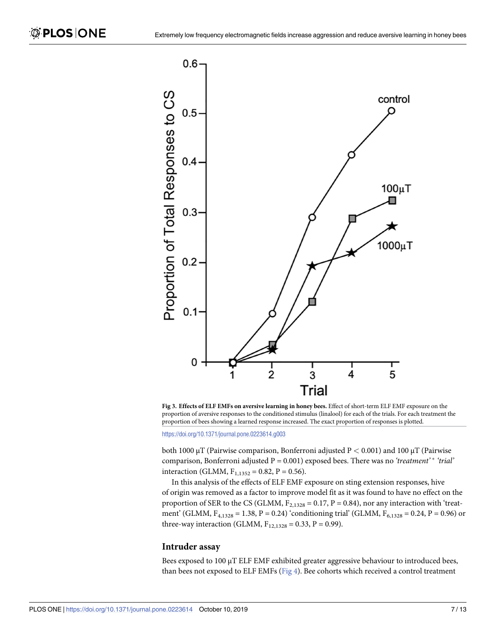<span id="page-6-0"></span>

**[Fig](#page-5-0) 3. Effects of ELF EMFs on aversive learning in honey bees.** Effect of short-term ELF EMF exposure on the proportion of aversive responses to the conditioned stimulus (linalool) for each of the trials. For each treatment the proportion of bees showing a learned response increased. The exact proportion of responses is plotted.

<https://doi.org/10.1371/journal.pone.0223614.g003>

both 1000 μT (Pairwise comparison, Bonferroni adjusted P *<* 0.001) and 100 μT (Pairwise comparison, Bonferroni adjusted P = 0.001) exposed bees. There was no 'treatment' \* 'trial' interaction (GLMM,  $F_{1,1352} = 0.82$ ,  $P = 0.56$ ).

In this analysis of the effects of ELF EMF exposure on sting extension responses, hive of origin was removed as a factor to improve model fit as it was found to have no effect on the proportion of SER to the CS (GLMM,  $F_{2,1328} = 0.17$ , P = 0.84), nor any interaction with 'treatment' (GLMM,  $F_{4,1328} = 1.38$ , P = 0.24) 'conditioning trial' (GLMM,  $F_{6,1328} = 0.24$ , P = 0.96) or three-way interaction (GLMM,  $F_{12,1328} = 0.33$ , P = 0.99).

#### **Intruder assay**

Bees exposed to 100 μT ELF EMF exhibited greater aggressive behaviour to introduced bees, than bees not exposed to ELF EMFs ([Fig](#page-7-0) 4). Bee cohorts which received a control treatment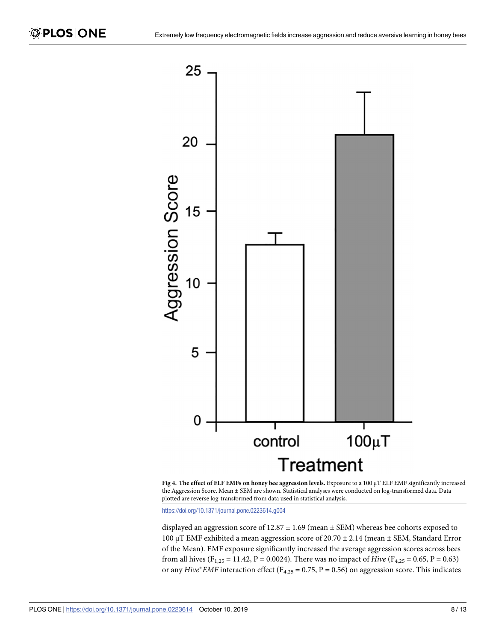<span id="page-7-0"></span>



<https://doi.org/10.1371/journal.pone.0223614.g004>

displayed an aggression score of  $12.87 \pm 1.69$  (mean  $\pm$  SEM) whereas bee cohorts exposed to 100 μT EMF exhibited a mean aggression score of 20.70  $\pm$  2.14 (mean  $\pm$  SEM, Standard Error of the Mean). EMF exposure significantly increased the average aggression scores across bees from all hives (F<sub>1,25</sub> = 11.42, P = 0.0024). There was no impact of *Hive* (F<sub>4,25</sub> = 0.65, P = 0.63) or any  $Hive*EMF$  interaction effect ( $F_{4,25} = 0.75$ ,  $P = 0.56$ ) on aggression score. This indicates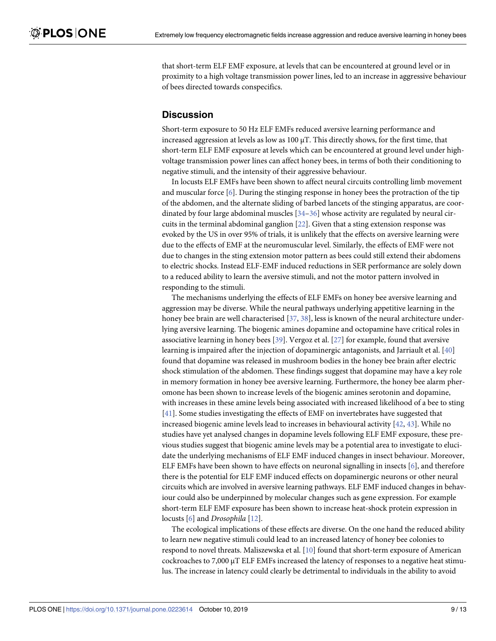<span id="page-8-0"></span>that short-term ELF EMF exposure, at levels that can be encountered at ground level or in proximity to a high voltage transmission power lines, led to an increase in aggressive behaviour of bees directed towards conspecifics.

# **Discussion**

Short-term exposure to 50 Hz ELF EMFs reduced aversive learning performance and increased aggression at levels as low as  $100 \mu$ T. This directly shows, for the first time, that short-term ELF EMF exposure at levels which can be encountered at ground level under highvoltage transmission power lines can affect honey bees, in terms of both their conditioning to negative stimuli, and the intensity of their aggressive behaviour.

In locusts ELF EMFs have been shown to affect neural circuits controlling limb movement and muscular force [\[6](#page-10-0)]. During the stinging response in honey bees the protraction of the tip of the abdomen, and the alternate sliding of barbed lancets of the stinging apparatus, are coordinated by four large abdominal muscles [\[34–](#page-11-0)[36\]](#page-12-0) whose activity are regulated by neural circuits in the terminal abdominal ganglion [[22](#page-11-0)]. Given that a sting extension response was evoked by the US in over 95% of trials, it is unlikely that the effects on aversive learning were due to the effects of EMF at the neuromuscular level. Similarly, the effects of EMF were not due to changes in the sting extension motor pattern as bees could still extend their abdomens to electric shocks. Instead ELF-EMF induced reductions in SER performance are solely down to a reduced ability to learn the aversive stimuli, and not the motor pattern involved in responding to the stimuli.

The mechanisms underlying the effects of ELF EMFs on honey bee aversive learning and aggression may be diverse. While the neural pathways underlying appetitive learning in the honey bee brain are well characterised [\[37,](#page-12-0) [38\]](#page-12-0), less is known of the neural architecture underlying aversive learning. The biogenic amines dopamine and octopamine have critical roles in associative learning in honey bees [[39](#page-12-0)]. Vergoz et al. [\[27\]](#page-11-0) for example, found that aversive learning is impaired after the injection of dopaminergic antagonists, and Jarriault et al. [[40](#page-12-0)] found that dopamine was released in mushroom bodies in the honey bee brain after electric shock stimulation of the abdomen. These findings suggest that dopamine may have a key role in memory formation in honey bee aversive learning. Furthermore, the honey bee alarm pheromone has been shown to increase levels of the biogenic amines serotonin and dopamine, with increases in these amine levels being associated with increased likelihood of a bee to sting [\[41\]](#page-12-0). Some studies investigating the effects of EMF on invertebrates have suggested that increased biogenic amine levels lead to increases in behavioural activity [\[42,](#page-12-0) [43\]](#page-12-0). While no studies have yet analysed changes in dopamine levels following ELF EMF exposure, these previous studies suggest that biogenic amine levels may be a potential area to investigate to elucidate the underlying mechanisms of ELF EMF induced changes in insect behaviour. Moreover, ELF EMFs have been shown to have effects on neuronal signalling in insects [\[6\]](#page-10-0), and therefore there is the potential for ELF EMF induced effects on dopaminergic neurons or other neural circuits which are involved in aversive learning pathways. ELF EMF induced changes in behaviour could also be underpinned by molecular changes such as gene expression. For example short-term ELF EMF exposure has been shown to increase heat-shock protein expression in locusts [[6\]](#page-10-0) and *Drosophila* [\[12\]](#page-11-0).

The ecological implications of these effects are diverse. On the one hand the reduced ability to learn new negative stimuli could lead to an increased latency of honey bee colonies to respond to novel threats. Maliszewska et al. [\[10\]](#page-10-0) found that short-term exposure of American cockroaches to 7,000 μT ELF EMFs increased the latency of responses to a negative heat stimulus. The increase in latency could clearly be detrimental to individuals in the ability to avoid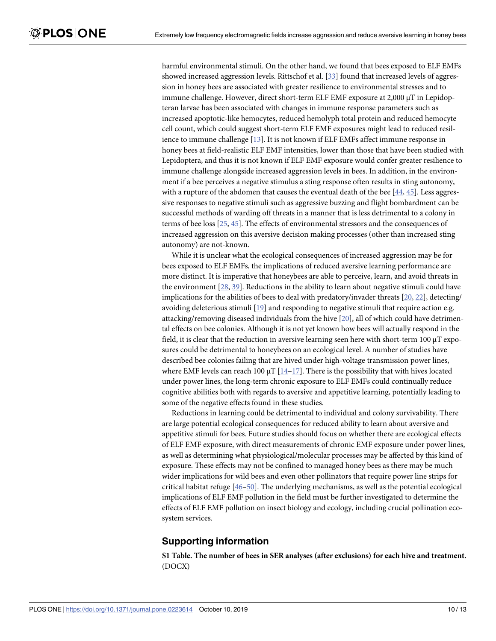<span id="page-9-0"></span>harmful environmental stimuli. On the other hand, we found that bees exposed to ELF EMFs showed increased aggression levels. Rittschof et al. [[33](#page-11-0)] found that increased levels of aggression in honey bees are associated with greater resilience to environmental stresses and to immune challenge. However, direct short-term ELF EMF exposure at 2,000 μT in Lepidopteran larvae has been associated with changes in immune response parameters such as increased apoptotic-like hemocytes, reduced hemolyph total protein and reduced hemocyte cell count, which could suggest short-term ELF EMF exposures might lead to reduced resilience to immune challenge [[13](#page-11-0)]. It is not known if ELF EMFs affect immune response in honey bees at field-realistic ELF EMF intensities, lower than those that have been studied with Lepidoptera, and thus it is not known if ELF EMF exposure would confer greater resilience to immune challenge alongside increased aggression levels in bees. In addition, in the environment if a bee perceives a negative stimulus a sting response often results in sting autonomy, with a rupture of the abdomen that causes the eventual death of the bee  $[44, 45]$  $[44, 45]$  $[44, 45]$  $[44, 45]$  $[44, 45]$ . Less aggressive responses to negative stimuli such as aggressive buzzing and flight bombardment can be successful methods of warding off threats in a manner that is less detrimental to a colony in terms of bee loss [\[25,](#page-11-0) [45\]](#page-12-0). The effects of environmental stressors and the consequences of increased aggression on this aversive decision making processes (other than increased sting autonomy) are not-known.

While it is unclear what the ecological consequences of increased aggression may be for bees exposed to ELF EMFs, the implications of reduced aversive learning performance are more distinct. It is imperative that honeybees are able to perceive, learn, and avoid threats in the environment [\[28,](#page-11-0) [39\]](#page-12-0). Reductions in the ability to learn about negative stimuli could have implications for the abilities of bees to deal with predatory/invader threats [\[20,](#page-11-0) [22\]](#page-11-0), detecting/ avoiding deleterious stimuli [\[19\]](#page-11-0) and responding to negative stimuli that require action e.g. attacking/removing diseased individuals from the hive [[20](#page-11-0)], all of which could have detrimental effects on bee colonies. Although it is not yet known how bees will actually respond in the field, it is clear that the reduction in aversive learning seen here with short-term 100 μT exposures could be detrimental to honeybees on an ecological level. A number of studies have described bee colonies failing that are hived under high-voltage transmission power lines, where EMF levels can reach 100  $\mu$ T [[14](#page-11-0)–[17](#page-11-0)]. There is the possibility that with hives located under power lines, the long-term chronic exposure to ELF EMFs could continually reduce cognitive abilities both with regards to aversive and appetitive learning, potentially leading to some of the negative effects found in these studies.

Reductions in learning could be detrimental to individual and colony survivability. There are large potential ecological consequences for reduced ability to learn about aversive and appetitive stimuli for bees. Future studies should focus on whether there are ecological effects of ELF EMF exposure, with direct measurements of chronic EMF exposure under power lines, as well as determining what physiological/molecular processes may be affected by this kind of exposure. These effects may not be confined to managed honey bees as there may be much wider implications for wild bees and even other pollinators that require power line strips for critical habitat refuge [\[46](#page-12-0)–[50](#page-12-0)]. The underlying mechanisms, as well as the potential ecological implications of ELF EMF pollution in the field must be further investigated to determine the effects of ELF EMF pollution on insect biology and ecology, including crucial pollination ecosystem services.

## **Supporting information**

**S1 [Table.](http://www.plosone.org/article/fetchSingleRepresentation.action?uri=info:doi/10.1371/journal.pone.0223614.s001) The number of bees in SER analyses (after exclusions) for each hive and treatment.** (DOCX)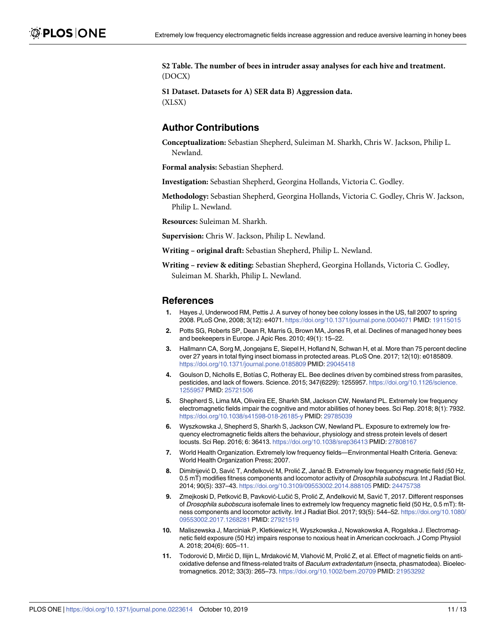<span id="page-10-0"></span>**S2 [Table.](http://www.plosone.org/article/fetchSingleRepresentation.action?uri=info:doi/10.1371/journal.pone.0223614.s002) The number of bees in intruder assay analyses for each hive and treatment.** (DOCX)

**S1 [Dataset.](http://www.plosone.org/article/fetchSingleRepresentation.action?uri=info:doi/10.1371/journal.pone.0223614.s003) Datasets for A) SER data B) Aggression data.** (XLSX)

# **Author Contributions**

**Conceptualization:** Sebastian Shepherd, Suleiman M. Sharkh, Chris W. Jackson, Philip L. Newland.

**Formal analysis:** Sebastian Shepherd.

**Investigation:** Sebastian Shepherd, Georgina Hollands, Victoria C. Godley.

**Methodology:** Sebastian Shepherd, Georgina Hollands, Victoria C. Godley, Chris W. Jackson, Philip L. Newland.

**Resources:** Suleiman M. Sharkh.

**Supervision:** Chris W. Jackson, Philip L. Newland.

**Writing – original draft:** Sebastian Shepherd, Philip L. Newland.

**Writing – review & editing:** Sebastian Shepherd, Georgina Hollands, Victoria C. Godley, Suleiman M. Sharkh, Philip L. Newland.

#### **References**

- **[1](#page-0-0).** Hayes J, Underwood RM, Pettis J. A survey of honey bee colony losses in the US, fall 2007 to spring 2008. PLoS One, 2008; 3(12): e4071. <https://doi.org/10.1371/journal.pone.0004071> PMID: [19115015](http://www.ncbi.nlm.nih.gov/pubmed/19115015)
- **[2](#page-0-0).** Potts SG, Roberts SP, Dean R, Marris G, Brown MA, Jones R, et al. Declines of managed honey bees and beekeepers in Europe. J Apic Res. 2010; 49(1): 15–22.
- **[3](#page-0-0).** Hallmann CA, Sorg M, Jongejans E, Siepel H, Hofland N, Schwan H, et al. More than 75 percent decline over 27 years in total flying insect biomass in protected areas. PLoS One. 2017; 12(10): e0185809. <https://doi.org/10.1371/journal.pone.0185809> PMID: [29045418](http://www.ncbi.nlm.nih.gov/pubmed/29045418)
- **[4](#page-0-0).** Goulson D, Nicholls E, Botías C, Rotheray EL. Bee declines driven by combined stress from parasites, pesticides, and lack of flowers. Science. 2015; 347(6229): 1255957. [https://doi.org/10.1126/science.](https://doi.org/10.1126/science.1255957) [1255957](https://doi.org/10.1126/science.1255957) PMID: [25721506](http://www.ncbi.nlm.nih.gov/pubmed/25721506)
- **[5](#page-1-0).** Shepherd S, Lima MA, Oliveira EE, Sharkh SM, Jackson CW, Newland PL. Extremely low frequency electromagnetic fields impair the cognitive and motor abilities of honey bees. Sci Rep. 2018; 8(1): 7932. <https://doi.org/10.1038/s41598-018-26185-y> PMID: [29785039](http://www.ncbi.nlm.nih.gov/pubmed/29785039)
- **[6](#page-1-0).** Wyszkowska J, Shepherd S, Sharkh S, Jackson CW, Newland PL. Exposure to extremely low frequency electromagnetic fields alters the behaviour, physiology and stress protein levels of desert locusts. Sci Rep. 2016; 6: 36413. <https://doi.org/10.1038/srep36413> PMID: [27808167](http://www.ncbi.nlm.nih.gov/pubmed/27808167)
- **[7](#page-1-0).** World Health Organization. Extremely low frequency fields—Environmental Health Criteria. Geneva: World Health Organization Press; 2007.
- **[8](#page-1-0).** Dimitrijević D, Savić T, Anđelković M, Prolić Z, Janać B. Extremely low frequency magnetic field (50 Hz, 0.5 mT) modifies fitness components and locomotor activity of *Drosophila subobscura*. Int J Radiat Biol. 2014; 90(5): 337–43. <https://doi.org/10.3109/09553002.2014.888105> PMID: [24475738](http://www.ncbi.nlm.nih.gov/pubmed/24475738)
- **[9](#page-1-0).** Zmejkoski D, Petković B, Pavković-Lučić S, Prolić Z, Anđelković M, Savić T, 2017. Different responses of Drosophila subobscura isofemale lines to extremely low frequency magnetic field (50 Hz, 0.5 mT): fitness components and locomotor activity. Int J Radiat Biol. 2017; 93(5): 544–52. [https://doi.org/10.1080/](https://doi.org/10.1080/09553002.2017.1268281) [09553002.2017.1268281](https://doi.org/10.1080/09553002.2017.1268281) PMID: [27921519](http://www.ncbi.nlm.nih.gov/pubmed/27921519)
- **[10](#page-1-0).** Maliszewska J, Marciniak P, Kletkiewicz H, Wyszkowska J, Nowakowska A, Rogalska J. Electromagnetic field exposure (50 Hz) impairs response to noxious heat in American cockroach. J Comp Physiol A. 2018; 204(6): 605–11.
- **[11](#page-1-0).** Todorović D, Mirčić D, Ilijin L, Mrdaković M, Vlahović M, Prolić Z, et al. Effect of magnetic fields on antioxidative defense and fitness-related traits of Baculum extradentatum (insecta, phasmatodea). Bioelectromagnetics. 2012; 33(3): 265–73. <https://doi.org/10.1002/bem.20709> PMID: [21953292](http://www.ncbi.nlm.nih.gov/pubmed/21953292)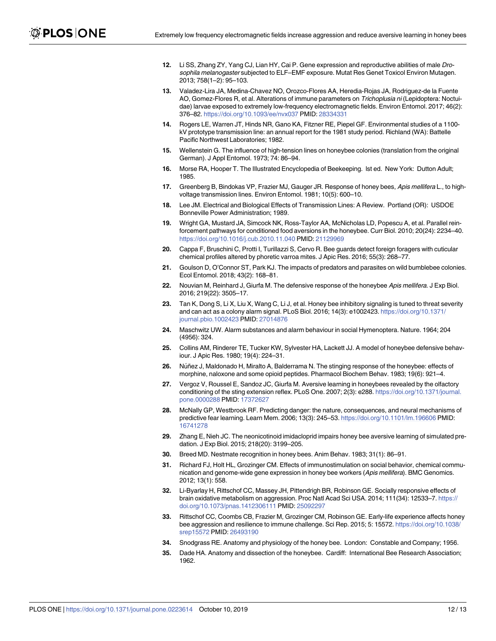- <span id="page-11-0"></span>**[12](#page-1-0).** Li SS, Zhang ZY, Yang CJ, Lian HY, Cai P. Gene expression and reproductive abilities of male Drosophila melanogaster subjected to ELF-EMF exposure. Mutat Res Genet Toxicol Environ Mutagen. 2013; 758(1–2): 95–103.
- **[13](#page-1-0).** Valadez-Lira JA, Medina-Chavez NO, Orozco-Flores AA, Heredia-Rojas JA, Rodriguez-de la Fuente AO, Gomez-Flores R, et al. Alterations of immune parameters on Trichoplusia ni (Lepidoptera: Noctuidae) larvae exposed to extremely low-frequency electromagnetic fields. Environ Entomol. 2017; 46(2): 376–82. <https://doi.org/10.1093/ee/nvx037> PMID: [28334331](http://www.ncbi.nlm.nih.gov/pubmed/28334331)
- **[14](#page-1-0).** Rogers LE, Warren JT, Hinds NR, Gano KA, Fitzner RE, Piepel GF. Environmental studies of a 1100 kV prototype transmission line: an annual report for the 1981 study period. Richland (WA): Battelle Pacific Northwest Laboratories; 1982.
- **[15](#page-1-0).** Wellenstein G. The influence of high-tension lines on honeybee colonies (translation from the original German). J Appl Entomol. 1973; 74: 86–94.
- **[16](#page-1-0).** Morse RA, Hooper T. The Illustrated Encyclopedia of Beekeeping. lst ed. New York: Dutton Adult; 1985.
- **[17](#page-1-0).** Greenberg B, Bindokas VP, Frazier MJ, Gauger JR. Response of honey bees, Apis mellifera L., to highvoltage transmission lines. Environ Entomol. 1981; 10(5): 600–10.
- **[18](#page-1-0).** Lee JM. Electrical and Biological Effects of Transmission Lines: A Review. Portland (OR): USDOE Bonneville Power Administration; 1989.
- **[19](#page-1-0).** Wright GA, Mustard JA, Simcock NK, Ross-Taylor AA, McNicholas LD, Popescu A, et al. Parallel reinforcement pathways for conditioned food aversions in the honeybee. Curr Biol. 2010; 20(24): 2234–40. <https://doi.org/10.1016/j.cub.2010.11.040> PMID: [21129969](http://www.ncbi.nlm.nih.gov/pubmed/21129969)
- **[20](#page-1-0).** Cappa F, Bruschini C, Protti I, Turillazzi S, Cervo R. Bee guards detect foreign foragers with cuticular chemical profiles altered by phoretic varroa mites. J Apic Res. 2016; 55(3): 268–77.
- **[21](#page-1-0).** Goulson D, O'Connor ST, Park KJ. The impacts of predators and parasites on wild bumblebee colonies. Ecol Entomol. 2018; 43(2): 168–81.
- **[22](#page-1-0).** Nouvian M, Reinhard J, Giurfa M. The defensive response of the honeybee Apis mellifera. J Exp Biol. 2016; 219(22): 3505–17.
- **[23](#page-1-0).** Tan K, Dong S, Li X, Liu X, Wang C, Li J, et al. Honey bee inhibitory signaling is tuned to threat severity and can act as a colony alarm signal. PLoS Biol. 2016; 14(3): e1002423. [https://doi.org/10.1371/](https://doi.org/10.1371/journal.pbio.1002423) [journal.pbio.1002423](https://doi.org/10.1371/journal.pbio.1002423) PMID: [27014876](http://www.ncbi.nlm.nih.gov/pubmed/27014876)
- **[24](#page-1-0).** Maschwitz UW. Alarm substances and alarm behaviour in social Hymenoptera. Nature. 1964; 204 (4956): 324.
- **[25](#page-1-0).** Collins AM, Rinderer TE, Tucker KW, Sylvester HA, Lackett JJ. A model of honeybee defensive behaviour. J Apic Res. 1980; 19(4): 224–31.
- **[26](#page-1-0).** Nu´ñez J, Maldonado H, Miralto A, Balderrama N. The stinging response of the honeybee: effects of morphine, naloxone and some opioid peptides. Pharmacol Biochem Behav. 1983; 19(6): 921–4.
- **[27](#page-1-0).** Vergoz V, Roussel E, Sandoz JC, Giurfa M. Aversive learning in honeybees revealed by the olfactory conditioning of the sting extension reflex. PLoS One. 2007; 2(3): e288. [https://doi.org/10.1371/journal.](https://doi.org/10.1371/journal.pone.0000288) [pone.0000288](https://doi.org/10.1371/journal.pone.0000288) PMID: [17372627](http://www.ncbi.nlm.nih.gov/pubmed/17372627)
- **[28](#page-1-0).** McNally GP, Westbrook RF. Predicting danger: the nature, consequences, and neural mechanisms of predictive fear learning. Learn Mem. 2006; 13(3): 245–53. <https://doi.org/10.1101/lm.196606> PMID: [16741278](http://www.ncbi.nlm.nih.gov/pubmed/16741278)
- **[29](#page-1-0).** Zhang E, Nieh JC. The neonicotinoid imidacloprid impairs honey bee aversive learning of simulated predation. J Exp Biol. 2015; 218(20): 3199–205.
- **[30](#page-1-0).** Breed MD. Nestmate recognition in honey bees. Anim Behav. 1983; 31(1): 86–91.
- **[31](#page-4-0).** Richard FJ, Holt HL, Grozinger CM. Effects of immunostimulation on social behavior, chemical communication and genome-wide gene expression in honey bee workers (Apis mellifera). BMC Genomics. 2012; 13(1): 558.
- **32.** Li-Byarlay H, Rittschof CC, Massey JH, Pittendrigh BR, Robinson GE. Socially responsive effects of brain oxidative metabolism on aggression. Proc Natl Acad Sci USA. 2014; 111(34): 12533–7. [https://](https://doi.org/10.1073/pnas.1412306111) [doi.org/10.1073/pnas.1412306111](https://doi.org/10.1073/pnas.1412306111) PMID: [25092297](http://www.ncbi.nlm.nih.gov/pubmed/25092297)
- **[33](#page-1-0).** Rittschof CC, Coombs CB, Frazier M, Grozinger CM, Robinson GE. Early-life experience affects honey bee aggression and resilience to immune challenge. Sci Rep. 2015; 5: 15572. [https://doi.org/10.1038/](https://doi.org/10.1038/srep15572) [srep15572](https://doi.org/10.1038/srep15572) PMID: [26493190](http://www.ncbi.nlm.nih.gov/pubmed/26493190)
- **[34](#page-8-0).** Snodgrass RE. Anatomy and physiology of the honey bee. London: Constable and Company; 1956.
- **35.** Dade HA. Anatomy and dissection of the honeybee. Cardiff: International Bee Research Association; 1962.